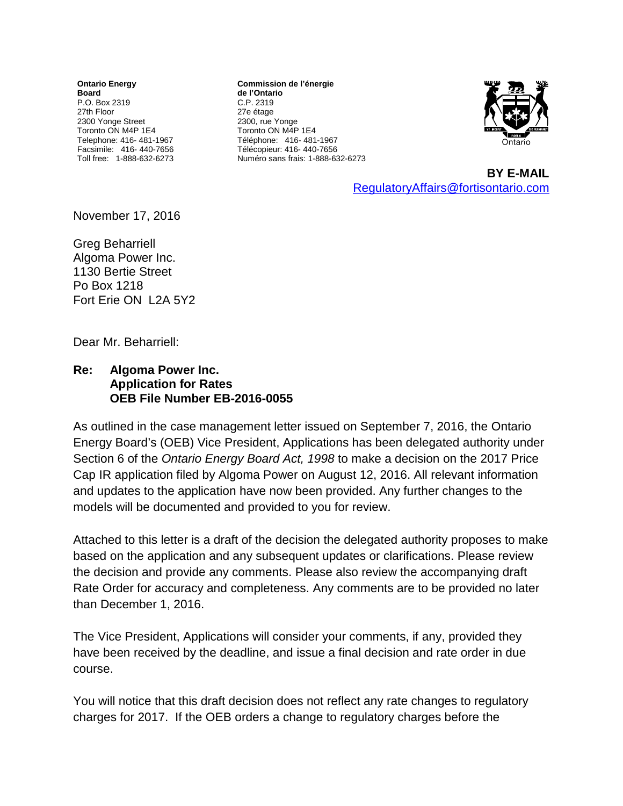**Ontario Energy Board** P.O. Box 2319 27th Floor 2300 Yonge Street Toronto ON M4P 1E4 Telephone: 416- 481-1967 Facsimile: 416- 440-7656 Toll free: 1-888-632-6273

**Commission de l'énergie de l'Ontario** C.P. 2319 27e étage 2300, rue Yonge Toronto ON M4P 1E4 Téléphone: 416- 481-1967 Télécopieur: 416- 440-7656 Numéro sans frais: 1-888-632-6273



**BY E-MAIL** [RegulatoryAffairs@fortisontario.com](mailto:RegulatoryAffairs@fortisontario.com)

November 17, 2016

Greg Beharriell Algoma Power Inc. 1130 Bertie Street Po Box 1218 Fort Erie ON L2A 5Y2

Dear Mr. Beharriell:

## **Re: Algoma Power Inc. Application for Rates OEB File Number EB-2016-0055**

As outlined in the case management letter issued on September 7, 2016, the Ontario Energy Board's (OEB) Vice President, Applications has been delegated authority under Section 6 of the *Ontario Energy Board Act, 1998* to make a decision on the 2017 Price Cap IR application filed by Algoma Power on August 12, 2016. All relevant information and updates to the application have now been provided. Any further changes to the models will be documented and provided to you for review.

Attached to this letter is a draft of the decision the delegated authority proposes to make based on the application and any subsequent updates or clarifications. Please review the decision and provide any comments. Please also review the accompanying draft Rate Order for accuracy and completeness. Any comments are to be provided no later than December 1, 2016.

The Vice President, Applications will consider your comments, if any, provided they have been received by the deadline, and issue a final decision and rate order in due course.

You will notice that this draft decision does not reflect any rate changes to regulatory charges for 2017. If the OEB orders a change to regulatory charges before the